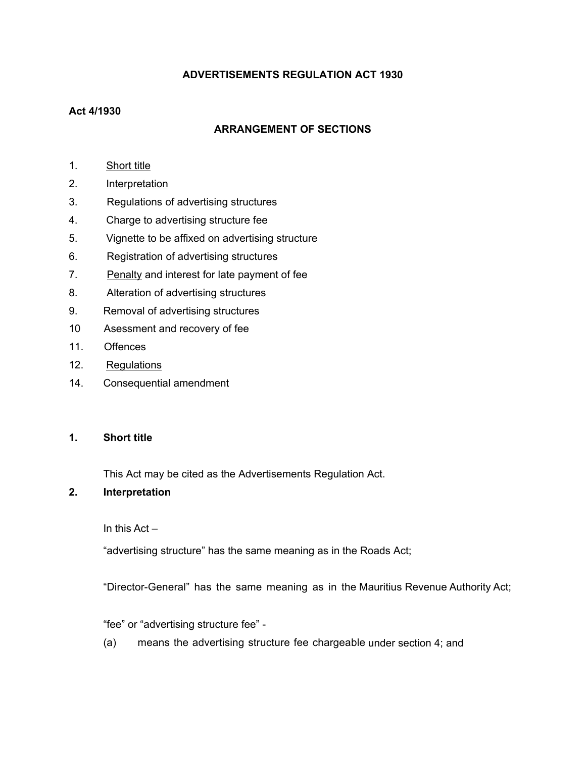## **ADVERTISEMENTS REGULATION ACT 1930**

## **Act 4/1930**

## **ARRANGEMENT OF SECTIONS**

- 1. [Short](#page-0-0) title
- 2. Interpretation
- 3. Regulations of advertising structures
- 4. Charge to advertising structure fee
- 5. Vignette to be affixed on advertising structure
- 6. Registration of advertising structures
- 7. Penalty and interest for late payment of fee
- 8. Alteration of advertising structures
- 9. Removal of advertising structures
- 10 Asessment and recovery of fee
- 11. Offences
- 12. Regulations
- 14. Consequential amendment

#### <span id="page-0-0"></span>**1. Short title**

This Act may be cited as the Advertisements Regulation Act.

## **2. Interpretation**

In this Act –

"advertising structure" has the same meaning as in the Roads Act;

"Director-General" has the same meaning as in the Mauritius Revenue Authority Act;

"fee" or "advertising structure fee" -

(a) means the advertising structure fee chargeable under section 4; and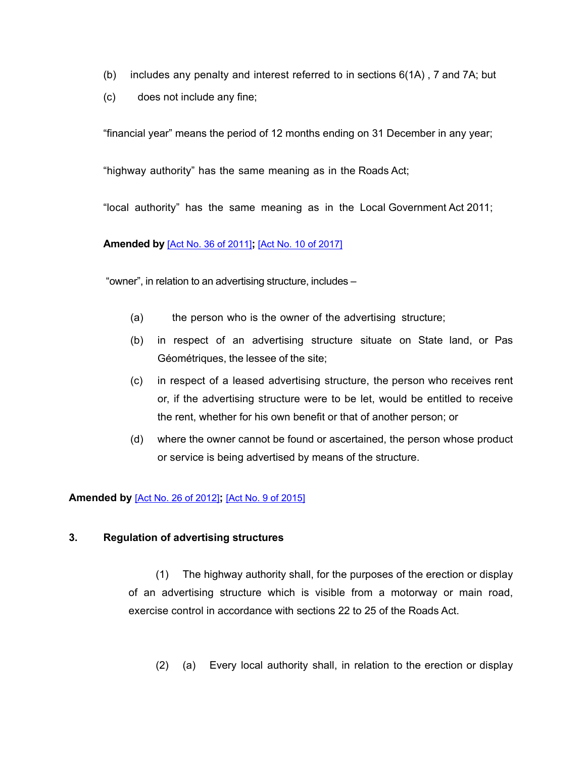- (b) includes any penalty and interest referred to in sections 6(1A) , 7 and 7A; but
- (c) does not include any fine;

"financial year" means the period of 12 months ending on 31 December in any year;

"highway authority" has the same meaning as in the Roads Act;

"local authority" has the same meaning as in the Local Government Act 2011;

## **Amended by** [Act No. 36 of [2011\]](https://supremecourt.govmu.org/_layouts/CLIS.DMS/search/searchdocumentbykey.aspx?ID=%5BAct%20No.%2036%20of%202011%5D&list=Legislations)**;** [Act No. 10 of [2017\]](https://supremecourt.govmu.org/_layouts/CLIS.DMS/search/searchdocumentbykey.aspx?ID=%5BAct%20No.%2010%20of%202017%5D&list=Legislations)

"owner", in relation to an advertising structure, includes –

- (a) the person who is the owner of the advertising structure;
- (b) in respect of an advertising structure situate on State land, or Pas Géométriques, the lessee of the site;
- (c) in respect of a leased advertising structure, the person who receives rent or, if the advertising structure were to be let, would be entitled to receive the rent, whether for his own benefit or that of another person; or
- (d) where the owner cannot be found or ascertained, the person whose product or service is being advertised by means of the structure.

## **Amended by** [Act No. 26 of [2012\]](https://supremecourt.govmu.org/_layouts/CLIS.DMS/search/searchdocumentbykey.aspx?ID=%5BAct%20No.%2026%20of%202012%5D&list=Legislations)**;** [Act No. 9 of [2015\]](https://supremecourt.govmu.org/_layouts/CLIS.DMS/search/searchdocumentbykey.aspx?ID=%5BAct%20No.%209%20of%202015%5D&list=Legislations)

#### **3. Regulation of advertising structures**

(1) The highway authority shall, for the purposes of the erection or display of an advertising structure which is visible from a motorway or main road, exercise control in accordance with sections 22 to 25 of the Roads Act.

(2) (a) Every local authority shall, in relation to the erection or display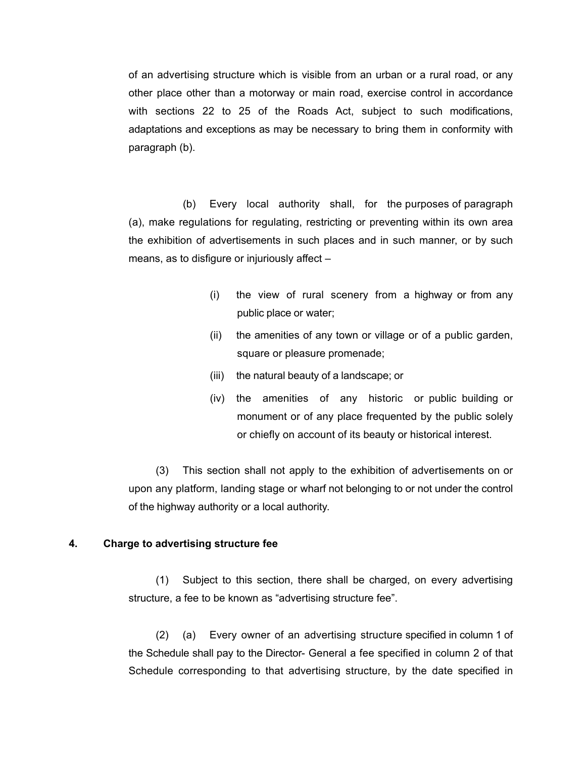of an advertising structure which is visible from an urban or a rural road, or any other place other than a motorway or main road, exercise control in accordance with sections 22 to 25 of the Roads Act, subject to such modifications, adaptations and exceptions as may be necessary to bring them in conformity with paragraph (b).

(b) Every local authority shall, for the purposes of paragraph (a), make regulations for regulating, restricting or preventing within its own area the exhibition of advertisements in such places and in such manner, or by such means, as to disfigure or injuriously affect –

- (i) the view of rural scenery from a highway or from any public place or water;
- (ii) the amenities of any town or village or of a public garden, square or pleasure promenade;
- (iii) the natural beauty of a landscape; or
- (iv) the amenities of any historic or public building or monument or of any place frequented by the public solely or chiefly on account of its beauty or historical interest.

(3) This section shall not apply to the exhibition of advertisements on or upon any platform, landing stage or wharf not belonging to or not under the control of the highway authority or a local authority.

#### **4. Charge to advertising structure fee**

(1) Subject to this section, there shall be charged, on every advertising structure, a fee to be known as "advertising structure fee".

(2) (a) Every owner of an advertising structure specified in column 1 of the Schedule shall pay to the Director- General a fee specified in column 2 of that Schedule corresponding to that advertising structure, by the date specified in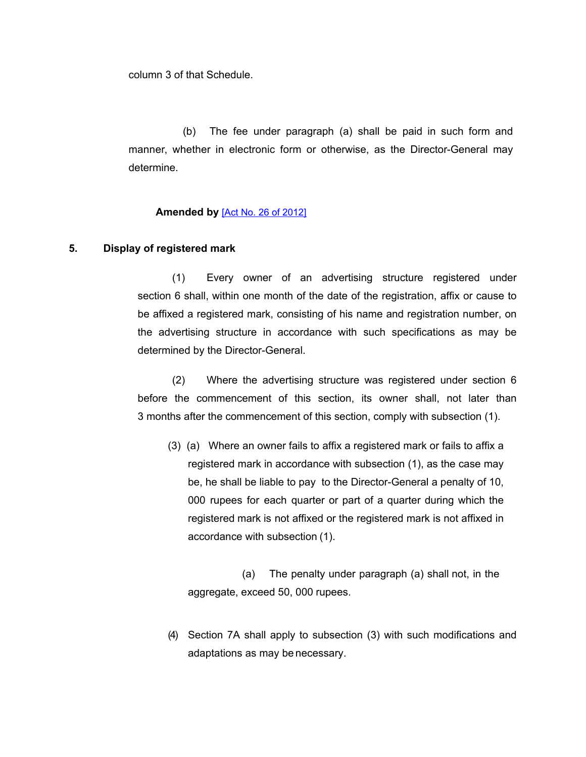column 3 of that Schedule.

(b) The fee under paragraph (a) shall be paid in such form and manner, whether in electronic form or otherwise, as the Director-General may determine.

## **Amended by** [Act No. 26 of [2012\]](https://supremecourt.govmu.org/_layouts/CLIS.DMS/search/searchdocumentbykey.aspx?ID=%5BAct%20No.%2026%20of%202012%5D&list=Legislations)

## **5. Display of registered mark**

(1) Every owner of an advertising structure registered under section 6 shall, within one month of the date of the registration, affix or cause to be affixed a registered mark, consisting of his name and registration number, on the advertising structure in accordance with such specifications as may be determined by the Director-General.

(2) Where the advertising structure was registered under section 6 before the commencement of this section, its owner shall, not later than 3 months after the commencement of this section, comply with subsection (1).

(3) (a) Where an owner fails to affix a registered mark or fails to affix a registered mark in accordance with subsection (1), as the case may be, he shall be liable to pay to the Director-General a penalty of 10, 000 rupees for each quarter or part of a quarter during which the registered mark is not affixed or the registered mark is not affixed in accordance with subsection (1).

(a) The penalty under paragraph (a) shall not, in the aggregate, exceed 50, 000 rupees.

(4) Section 7A shall apply to subsection (3) with such modifications and adaptations as may be necessary.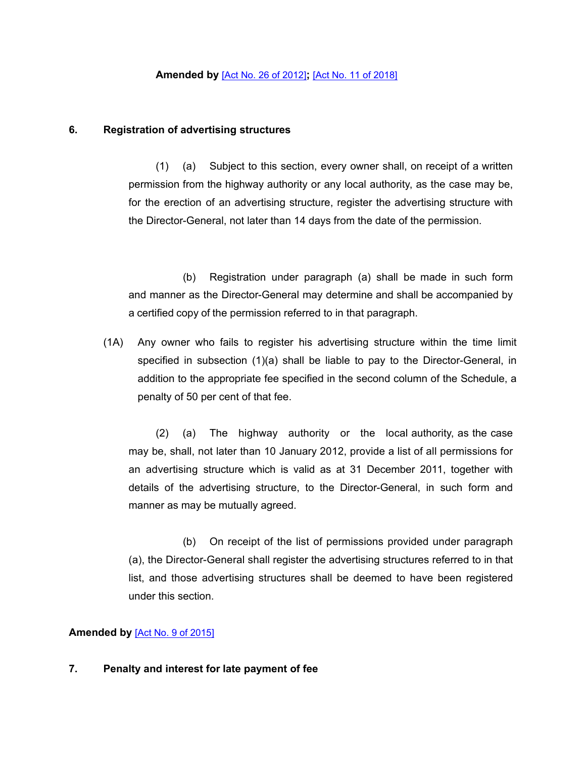## **6. Registration of advertising structures**

(1) (a) Subject to this section, every owner shall, on receipt of a written permission from the highway authority or any local authority, as the case may be, for the erection of an advertising structure, register the advertising structure with the Director-General, not later than 14 days from the date of the permission.

(b) Registration under paragraph (a) shall be made in such form and manner as the Director-General may determine and shall be accompanied by a certified copy of the permission referred to in that paragraph.

(1A) Any owner who fails to register his advertising structure within the time limit specified in subsection (1)(a) shall be liable to pay to the Director-General, in addition to the appropriate fee specified in the second column of the Schedule, a penalty of 50 per cent of that fee.

(2) (a) The highway authority or the local authority, as the case may be, shall, not later than 10 January 2012, provide a list of all permissions for an advertising structure which is valid as at 31 December 2011, together with details of the advertising structure, to the Director-General, in such form and manner as may be mutually agreed.

(b) On receipt of the list of permissions provided under paragraph (a), the Director-General shall register the advertising structures referred to in that list, and those advertising structures shall be deemed to have been registered under this section.

## **Amended by** [Act No. 9 of [2015\]](https://supremecourt.govmu.org/_layouts/CLIS.DMS/search/searchdocumentbykey.aspx?ID=%5BAct%20No.%209%20of%202015%5D&list=Legislations)

#### **7. Penalty and interest for late payment of fee**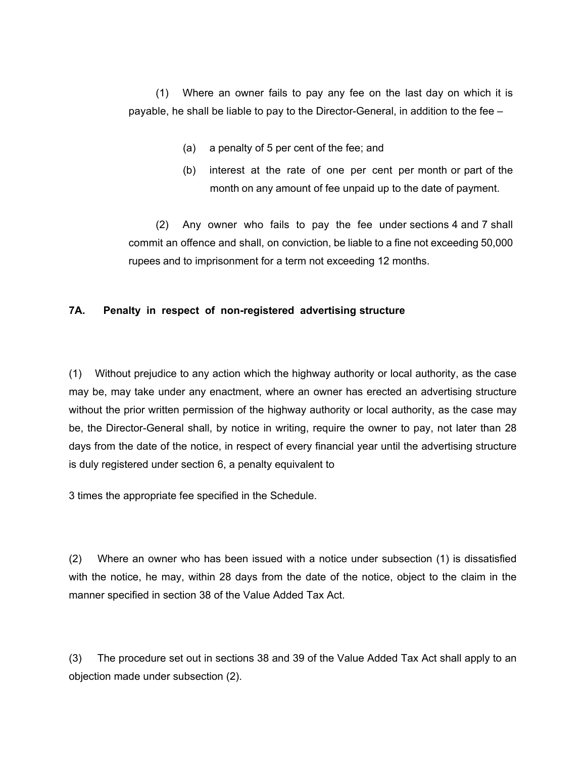(1) Where an owner fails to pay any fee on the last day on which it is payable, he shall be liable to pay to the Director-General, in addition to the fee –

- (a) a penalty of 5 per cent of the fee; and
- (b) interest at the rate of one per cent per month or part of the month on any amount of fee unpaid up to the date of payment.

(2) Any owner who fails to pay the fee under sections 4 and 7 shall commit an offence and shall, on conviction, be liable to a fine not exceeding 50,000 rupees and to imprisonment for a term not exceeding 12 months.

## **7A. Penalty in respect of non-registered advertising structure**

(1) Without prejudice to any action which the highway authority or local authority, as the case may be, may take under any enactment, where an owner has erected an advertising structure without the prior written permission of the highway authority or local authority, as the case may be, the Director-General shall, by notice in writing, require the owner to pay, not later than 28 days from the date of the notice, in respect of every financial year until the advertising structure is duly registered under section 6, a penalty equivalent to

3 times the appropriate fee specified in the Schedule.

(2) Where an owner who has been issued with a notice under subsection (1) is dissatisfied with the notice, he may, within 28 days from the date of the notice, object to the claim in the manner specified in section 38 of the Value Added Tax Act.

(3) The procedure set out in sections 38 and 39 of the Value Added Tax Act shall apply to an objection made under subsection (2).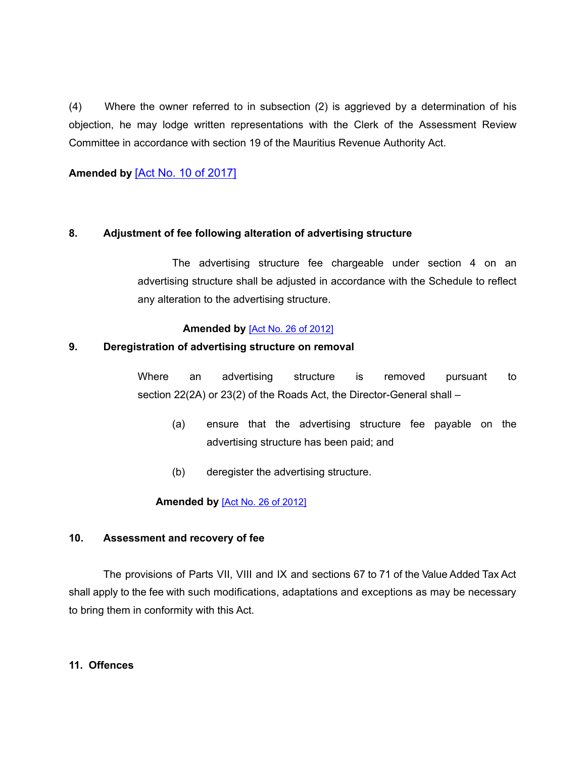(4) Where the owner referred to in subsection (2) is aggrieved by a determination of his objection, he may lodge written representations with the Clerk of the Assessment Review Committee in accordance with section 19 of the Mauritius Revenue Authority Act.

**Amended by** [Act No. 10 of [2017\]](https://supremecourt.govmu.org/_layouts/CLIS.DMS/search/searchdocumentbykey.aspx?ID=%5BAct%20No.%2010%20of%202017%5D&list=Legislations)

## **8. Adjustment of fee following alteration of advertising structure**

The advertising structure fee chargeable under section 4 on an advertising structure shall be adjusted in accordance with the Schedule to reflect any alteration to the advertising structure.

## **Amended by** [Act No. 26 of [2012\]](https://supremecourt.govmu.org/_layouts/CLIS.DMS/search/searchdocumentbykey.aspx?ID=%5BAct%20No.%2026%20of%202012%5D&list=Legislations)

## **9. Deregistration of advertising structure on removal**

Where an advertising structure is removed pursuant to section 22(2A) or 23(2) of the Roads Act, the Director-General shall –

- (a) ensure that the advertising structure fee payable on the advertising structure has been paid; and
- (b) deregister the advertising structure.

## **Amended by** [Act No. 26 of [2012\]](https://supremecourt.govmu.org/_layouts/CLIS.DMS/search/searchdocumentbykey.aspx?ID=%5BAct%20No.%2026%20of%202012%5D&list=Legislations)

## **10. Assessment and recovery of fee**

The provisions of Parts VII, VIII and IX and sections 67 to 71 of the Value Added Tax Act shall apply to the fee with such modifications, adaptations and exceptions as may be necessary to bring them in conformity with this Act.

## **11. Offences**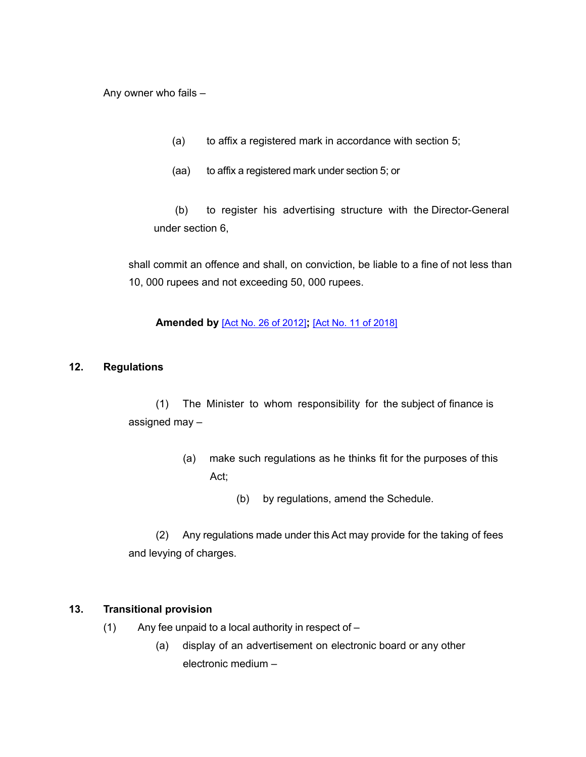Any owner who fails –

- (a) to affix a registered mark in accordance with section 5;
- (aa) to affix a registered mark under section 5; or

(b) to register his advertising structure with the Director-General under section 6,

shall commit an offence and shall, on conviction, be liable to a fine of not less than 10, 000 rupees and not exceeding 50, 000 rupees.

## **Amended by** [Act No. 26 of [2012\]](https://supremecourt.govmu.org/_layouts/CLIS.DMS/search/searchdocumentbykey.aspx?ID=%5BAct%20No.%2026%20of%202012%5D&list=Legislations)**;** [Act No. 11 of [2018\]](https://supremecourt.govmu.org/_layouts/CLIS.DMS/search/searchdocumentbykey.aspx?ID=%5BAct%20No.%2011%20of%202018%5D&list=Legislations)

## **12. Regulations**

(1) The Minister to whom responsibility for the subject of finance is assigned may –

- (a) make such regulations as he thinks fit for the purposes of this Act;
	- (b) by regulations, amend the Schedule.

(2) Any regulations made under this Act may provide for the taking of fees and levying of charges.

## **13. Transitional provision**

- (1) Any fee unpaid to a local authority in respect of
	- (a) display of an advertisement on electronic board or any other electronic medium –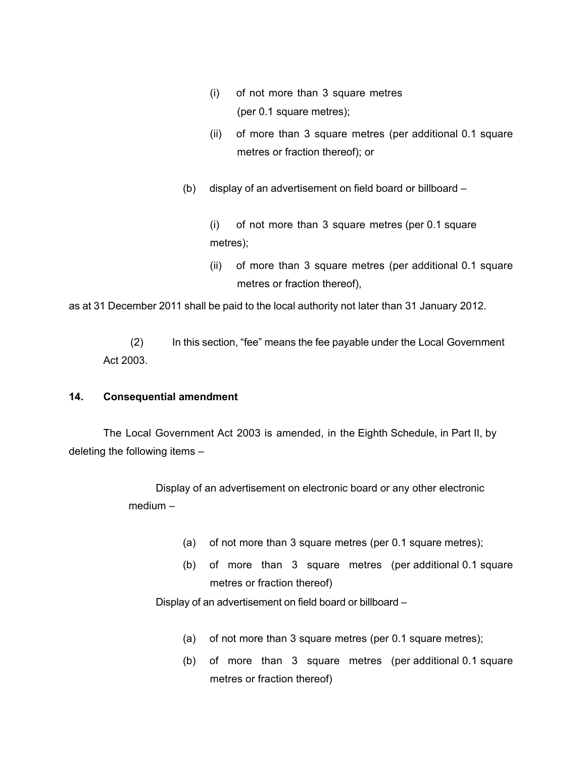- (i) of not more than 3 square metres (per 0.1 square metres);
- (ii) of more than 3 square metres (per additional 0.1 square metres or fraction thereof); or
- (b) display of an advertisement on field board or billboard –

(i) of not more than 3 square metres (per 0.1 square metres);

(ii) of more than 3 square metres (per additional 0.1 square metres or fraction thereof),

as at 31 December 2011 shall be paid to the local authority not later than 31 January 2012.

(2) In this section, "fee" means the fee payable under the Local Government Act 2003.

## **14. Consequential amendment**

The Local Government Act 2003 is amended, in the Eighth Schedule, in Part II, by deleting the following items –

> Display of an advertisement on electronic board or any other electronic medium –

- (a) of not more than 3 square metres (per 0.1 square metres);
- (b) of more than 3 square metres (per additional 0.1 square metres or fraction thereof)

Display of an advertisement on field board or billboard –

- (a) of not more than 3 square metres (per 0.1 square metres);
- (b) of more than 3 square metres (per additional 0.1 square metres or fraction thereof)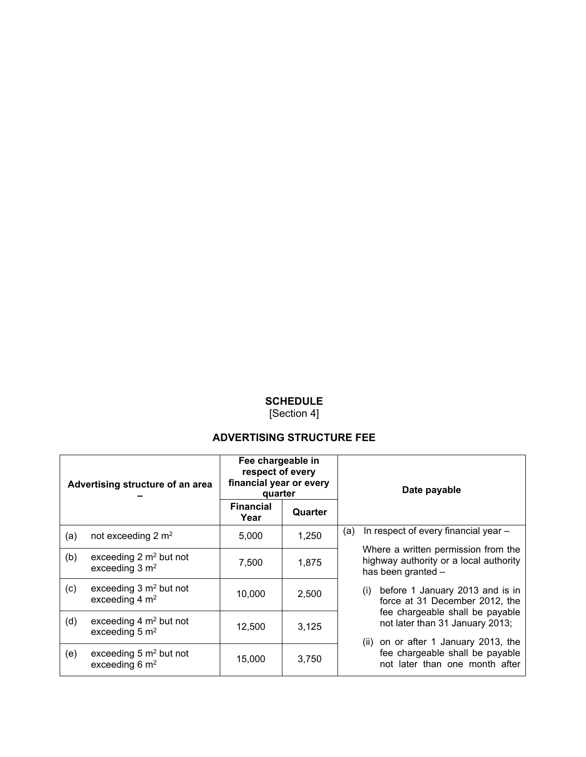# **SCHEDULE**

[Section 4]

## **ADVERTISING STRUCTURE FEE**

| Advertising structure of an area |                                                                | Fee chargeable in<br>respect of every<br>financial year or every<br>quarter |         | Date payable                                                                                               |  |
|----------------------------------|----------------------------------------------------------------|-----------------------------------------------------------------------------|---------|------------------------------------------------------------------------------------------------------------|--|
|                                  |                                                                | <b>Financial</b><br>Year                                                    | Quarter |                                                                                                            |  |
| (a)                              | not exceeding $2 \text{ m}^2$                                  | 5,000                                                                       | 1,250   | In respect of every financial year -<br>(a)                                                                |  |
| (b)                              | exceeding $2 \text{ m}^2$ but not<br>exceeding $3 \text{ m}^2$ | 7,500                                                                       | 1,875   | Where a written permission from the<br>highway authority or a local authority<br>has been granted -        |  |
| (c)                              | exceeding $3 \text{ m}^2$ but not<br>exceeding $4 \text{ m}^2$ | 10,000                                                                      | 2,500   | (i) before 1 January 2013 and is in<br>force at 31 December 2012, the                                      |  |
| (d)                              | exceeding $4 \text{ m}^2$ but not<br>exceeding $5 \text{ m}^2$ | 12,500                                                                      | 3,125   | fee chargeable shall be payable<br>not later than 31 January 2013;<br>(ii) on or after 1 January 2013, the |  |
| (e)                              | exceeding $5 \text{ m}^2$ but not<br>exceeding $6 \text{ m}^2$ | 15,000                                                                      | 3,750   | fee chargeable shall be payable<br>not later than one month after                                          |  |